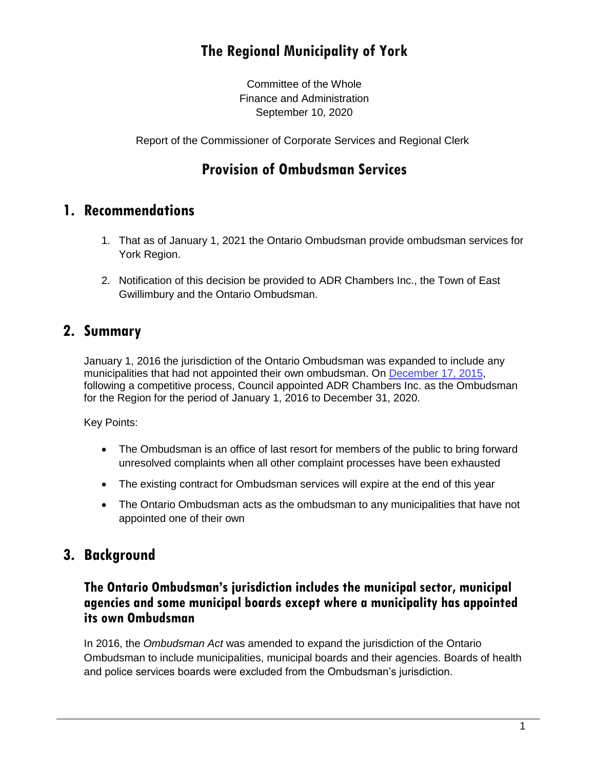# **The Regional Municipality of York**

Committee of the Whole Finance and Administration September 10, 2020

Report of the Commissioner of Corporate Services and Regional Clerk

## **Provision of Ombudsman Services**

### **1. Recommendations**

- 1. That as of January 1, 2021 the Ontario Ombudsman provide ombudsman services for York Region.
- 2. Notification of this decision be provided to ADR Chambers Inc., the Town of East Gwillimbury and the Ontario Ombudsman.

### **2. Summary**

January 1, 2016 the jurisdiction of the Ontario Ombudsman was expanded to include any municipalities that had not appointed their own ombudsman. On [December 17, 2015,](https://www.york.ca/wps/wcm/connect/yorkpublic/e49234d8-55be-47a7-a9c3-693715c11e64/rs+rpt+1+ex.pdf?MOD=AJPERES&CVID=mu8TW9u) following a competitive process, Council appointed ADR Chambers Inc. as the Ombudsman for the Region for the period of January 1, 2016 to December 31, 2020.

Key Points:

- The Ombudsman is an office of last resort for members of the public to bring forward unresolved complaints when all other complaint processes have been exhausted
- The existing contract for Ombudsman services will expire at the end of this year
- The Ontario Ombudsman acts as the ombudsman to any municipalities that have not appointed one of their own

### **3. Background**

#### **The Ontario Ombudsman's jurisdiction includes the municipal sector, municipal agencies and some municipal boards except where a municipality has appointed its own Ombudsman**

In 2016, the *Ombudsman Act* was amended to expand the jurisdiction of the Ontario Ombudsman to include municipalities, municipal boards and their agencies. Boards of health and police services boards were excluded from the Ombudsman's jurisdiction.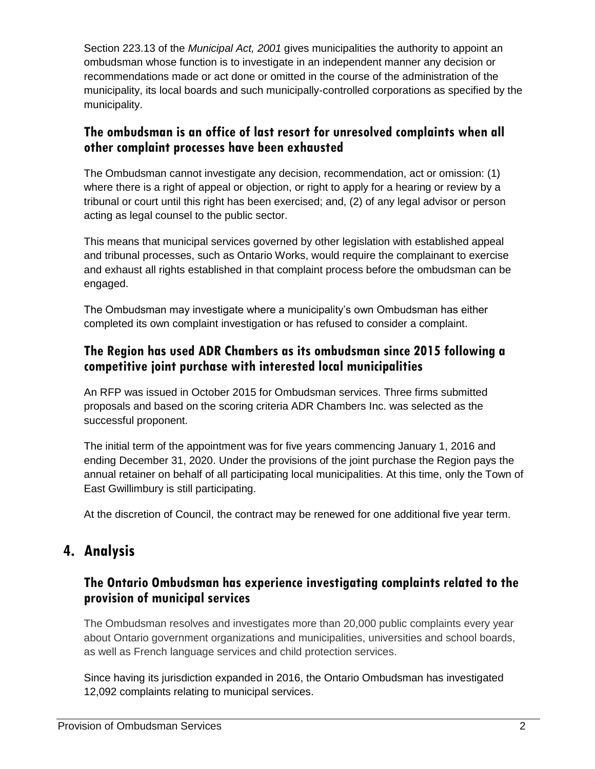Section 223.13 of the *Municipal Act, 2001* gives municipalities the authority to appoint an ombudsman whose function is to investigate in an independent manner any decision or recommendations made or act done or omitted in the course of the administration of the municipality, its local boards and such municipally-controlled corporations as specified by the municipality.

#### **The ombudsman is an office of last resort for unresolved complaints when all other complaint processes have been exhausted**

The Ombudsman cannot investigate any decision, recommendation, act or omission: (1) where there is a right of appeal or objection, or right to apply for a hearing or review by a tribunal or court until this right has been exercised; and, (2) of any legal advisor or person acting as legal counsel to the public sector.

This means that municipal services governed by other legislation with established appeal and tribunal processes, such as Ontario Works, would require the complainant to exercise and exhaust all rights established in that complaint process before the ombudsman can be engaged.

The Ombudsman may investigate where a municipality's own Ombudsman has either completed its own complaint investigation or has refused to consider a complaint.

### **The Region has used ADR Chambers as its ombudsman since 2015 following a competitive joint purchase with interested local municipalities**

An RFP was issued in October 2015 for Ombudsman services. Three firms submitted proposals and based on the scoring criteria ADR Chambers Inc. was selected as the successful proponent.

The initial term of the appointment was for five years commencing January 1, 2016 and ending December 31, 2020. Under the provisions of the joint purchase the Region pays the annual retainer on behalf of all participating local municipalities. At this time, only the Town of East Gwillimbury is still participating.

At the discretion of Council, the contract may be renewed for one additional five year term.

## **4. Analysis**

### **The Ontario Ombudsman has experience investigating complaints related to the provision of municipal services**

The Ombudsman resolves and investigates more than 20,000 public complaints every year about Ontario government organizations and municipalities, universities and school boards, as well as French language services and child protection services.

Since having its jurisdiction expanded in 2016, the Ontario Ombudsman has investigated 12,092 complaints relating to municipal services.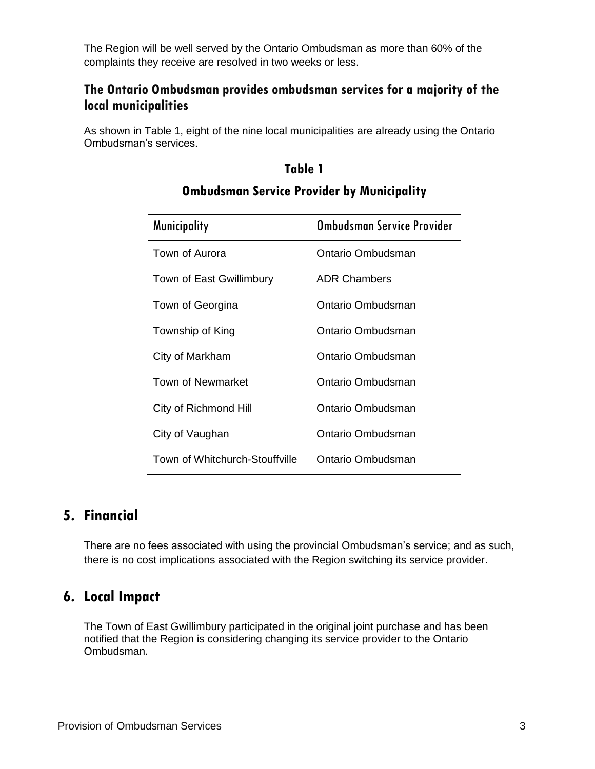The Region will be well served by the Ontario Ombudsman as more than 60% of the complaints they receive are resolved in two weeks or less.

#### **The Ontario Ombudsman provides ombudsman services for a majority of the local municipalities**

As shown in Table 1, eight of the nine local municipalities are already using the Ontario Ombudsman's services.

#### **Table 1**

| <b>Municipality</b>            | Ombudsman Service Provider |
|--------------------------------|----------------------------|
| Town of Aurora                 | Ontario Ombudsman          |
| Town of East Gwillimbury       | <b>ADR Chambers</b>        |
| Town of Georgina               | Ontario Ombudsman          |
| Township of King               | Ontario Ombudsman          |
| City of Markham                | Ontario Ombudsman          |
| Town of Newmarket              | Ontario Ombudsman          |
| City of Richmond Hill          | Ontario Ombudsman          |
| City of Vaughan                | Ontario Ombudsman          |
| Town of Whitchurch-Stouffville | Ontario Ombudsman          |

### **Ombudsman Service Provider by Municipality**

### **5. Financial**

There are no fees associated with using the provincial Ombudsman's service; and as such, there is no cost implications associated with the Region switching its service provider.

## **6. Local Impact**

The Town of East Gwillimbury participated in the original joint purchase and has been notified that the Region is considering changing its service provider to the Ontario Ombudsman.